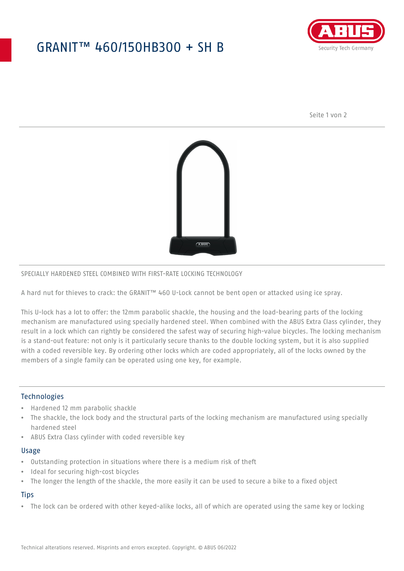## GRANIT™ 460/150HB300 + SH B



Seite 1 von 2



#### SPECIALLY HARDENED STEEL COMBINED WITH FIRST-RATE LOCKING TECHNOLOGY

A hard nut for thieves to crack: the GRANIT™ 460 U-Lock cannot be bent open or attacked using ice spray.

This U-lock has a lot to offer: the 12mm parabolic shackle, the housing and the load-bearing parts of the locking mechanism are manufactured using specially hardened steel. When combined with the ABUS Extra Class cylinder, they result in a lock which can rightly be considered the safest way of securing high-value bicycles. The locking mechanism is a stand-out feature: not only is it particularly secure thanks to the double locking system, but it is also supplied with a coded reversible key. By ordering other locks which are coded appropriately, all of the locks owned by the members of a single family can be operated using one key, for example.

#### **Technologies**

- Hardened 12 mm parabolic shackle
- The shackle, the lock body and the structural parts of the locking mechanism are manufactured using specially hardened steel
- ABUS Extra Class cylinder with coded reversible key

#### Usage

- Outstanding protection in situations where there is a medium risk of theft
- Ideal for securing high-cost bicycles
- The longer the length of the shackle, the more easily it can be used to secure a bike to a fixed object

## **Tips**

• The lock can be ordered with other keyed-alike locks, all of which are operated using the same key or locking